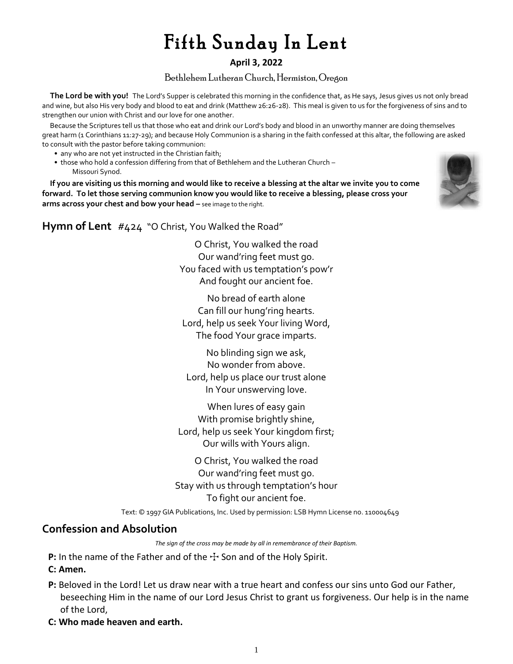# Fifth Sunday In Lent

#### **April 3, 2022**

#### Bethlehem Lutheran Church, Hermiston, Oregon

**The Lord be with you!** The Lord's Supper is celebrated this morning in the confidence that, as He says, Jesus gives us not only bread and wine, but also His very body and blood to eat and drink (Matthew 26:26-28). This meal is given to us for the forgiveness of sins and to strengthen our union with Christ and our love for one another.

Because the Scriptures tell us that those who eat and drink our Lord's body and blood in an unworthy manner are doing themselves great harm (1 Corinthians 11:27-29); and because Holy Communion is a sharing in the faith confessed at this altar, the following are asked to consult with the pastor before taking communion:

- any who are not yet instructed in the Christian faith;
- those who hold a confession differing from that of Bethlehem and the Lutheran Church Missouri Synod.

**If you are visiting us this morning and would like to receive a blessing at the altar we invite you to come forward. To let those serving communion know you would like to receive a blessing, please cross your arms across your chest and bow your head –** see image to the right.



**Hymn of Lent** *#*424"O Christ, You Walked the Road"

O Christ, You walked the road Our wand'ring feet must go. You faced with us temptation's pow'r And fought our ancient foe.

No bread of earth alone Can fill our hung'ring hearts. Lord, help us seek Your living Word, The food Your grace imparts.

No blinding sign we ask, No wonder from above. Lord, help us place our trust alone In Your unswerving love.

When lures of easy gain With promise brightly shine, Lord, help us seek Your kingdom first; Our wills with Yours align.

O Christ, You walked the road Our wand'ring feet must go. Stay with us through temptation's hour To fight our ancient foe.

Text: © 1997 GIA Publications, Inc. Used by permission: LSB Hymn License no. 110004649

# **Confession and Absolution**

*The sign of the cross may be made by all in remembrance of their Baptism.*

- **P:** In the name of the Father and of the  $\pm$  Son and of the Holy Spirit.
- **C: Amen.**
- **P:** Beloved in the Lord! Let us draw near with a true heart and confess our sins unto God our Father, beseeching Him in the name of our Lord Jesus Christ to grant us forgiveness. Our help is in the name of the Lord,
- **C: Who made heaven and earth.**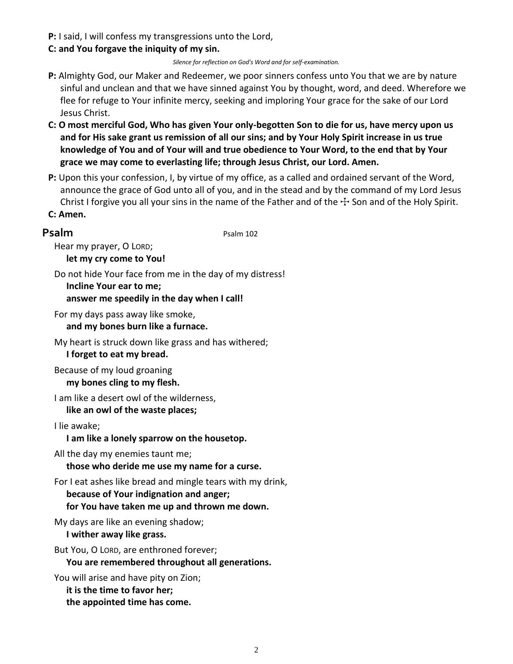**P:** I said, I will confess my transgressions unto the Lord,

#### **C: and You forgave the iniquity of my sin.**

*Silence for reflection on God's Word and for self-examination.*

- **P:** Almighty God, our Maker and Redeemer, we poor sinners confess unto You that we are by nature sinful and unclean and that we have sinned against You by thought, word, and deed. Wherefore we flee for refuge to Your infinite mercy, seeking and imploring Your grace for the sake of our Lord Jesus Christ.
- **C: O most merciful God, Who has given Your only-begotten Son to die for us, have mercy upon us and for His sake grant us remission of all our sins; and by Your Holy Spirit increase in us true knowledge of You and of Your will and true obedience to Your Word, to the end that by Your grace we may come to everlasting life; through Jesus Christ, our Lord. Amen.**
- **P:** Upon this your confession, I, by virtue of my office, as a called and ordained servant of the Word, announce the grace of God unto all of you, and in the stead and by the command of my Lord Jesus Christ I forgive you all your sins in the name of the Father and of the  $\pm$  Son and of the Holy Spirit.
- **C: Amen.**

### **Psalm** Psalm 102

Hear my prayer, O LORD; **let my cry come to You!**

Do not hide Your face from me in the day of my distress! **Incline Your ear to me; answer me speedily in the day when I call!**

For my days pass away like smoke,

**and my bones burn like a furnace.**

My heart is struck down like grass and has withered;

**I forget to eat my bread.**

Because of my loud groaning

**my bones cling to my flesh.**

I am like a desert owl of the wilderness,

**like an owl of the waste places;**

I lie awake;

**I am like a lonely sparrow on the housetop.**

All the day my enemies taunt me;

**those who deride me use my name for a curse.**

For I eat ashes like bread and mingle tears with my drink,

**because of Your indignation and anger; for You have taken me up and thrown me down.**

My days are like an evening shadow;

**I wither away like grass.**

But You, O LORD, are enthroned forever;

**You are remembered throughout all generations.**

You will arise and have pity on Zion;

**it is the time to favor her;**

**the appointed time has come.**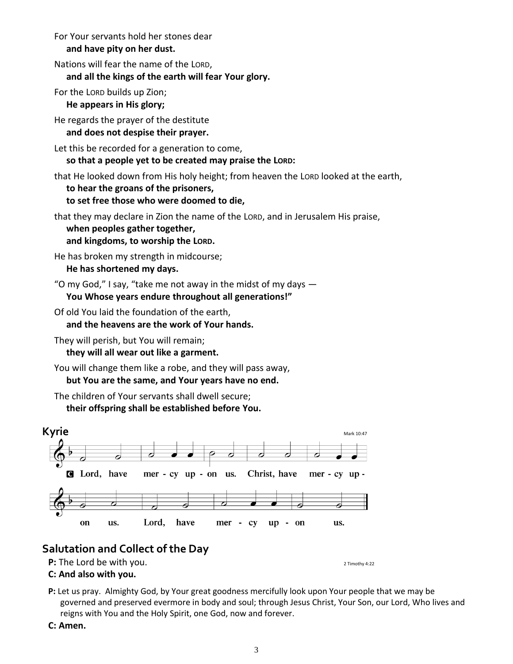For Your servants hold her stones dear

**and have pity on her dust.**

Nations will fear the name of the LORD, **and all the kings of the earth will fear Your glory.**

For the LORD builds up Zion;

**He appears in His glory;**

He regards the prayer of the destitute **and does not despise their prayer.**

Let this be recorded for a generation to come,

**so that a people yet to be created may praise the LORD:**

that He looked down from His holy height; from heaven the LORD looked at the earth,

**to hear the groans of the prisoners,**

**to set free those who were doomed to die,**

that they may declare in Zion the name of the LORD, and in Jerusalem His praise,

**when peoples gather together, and kingdoms, to worship the LORD.**

He has broken my strength in midcourse;

**He has shortened my days.**

"O my God," I say, "take me not away in the midst of my days  $-$ **You Whose years endure throughout all generations!"**

Of old You laid the foundation of the earth,

**and the heavens are the work of Your hands.**

They will perish, but You will remain;

**they will all wear out like a garment.**

You will change them like a robe, and they will pass away, **but You are the same, and Your years have no end.**

The children of Your servants shall dwell secure;

**their offspring shall be established before You.**



# **Salutation and Collect of the Day**

**P:** The Lord be with you.

### **C: And also with you.**

**P:** Let us pray. Almighty God, by Your great goodness mercifully look upon Your people that we may be governed and preserved evermore in body and soul; through Jesus Christ, Your Son, our Lord, Who lives and reigns with You and the Holy Spirit, one God, now and forever.

**C: Amen.**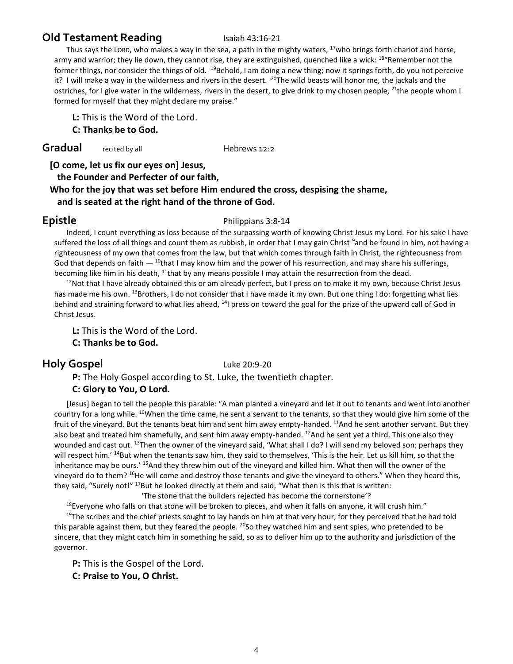#### **Old Testament Reading** Isaiah 43:16-21

Thus says the LORD, who makes a way in the sea, a path in the mighty waters,  $17$ who brings forth chariot and horse, army and warrior; they lie down, they cannot rise, they are extinguished, quenched like a wick: 18"Remember not the former things, nor consider the things of old. <sup>19</sup>Behold, I am doing a new thing; now it springs forth, do you not perceive it? I will make a way in the wilderness and rivers in the desert. <sup>20</sup>The wild beasts will honor me, the jackals and the ostriches, for I give water in the wilderness, rivers in the desert, to give drink to my chosen people,  $^{21}$ the people whom I formed for myself that they might declare my praise."

**L:** This is the Word of the Lord.

#### **C: Thanks be to God.**

**Gradual** recited by all **Gradual Hebrews 12:2** 

**[O come, let us fix our eyes on] Jesus,**

**the Founder and Perfecter of our faith,**

#### **Who for the joy that was set before Him endured the cross, despising the shame, and is seated at the right hand of the throne of God.**

#### **Epistle** Philippians 3:8-14

Indeed, I count everything as loss because of the surpassing worth of knowing Christ Jesus my Lord. For his sake I have suffered the loss of all things and count them as rubbish, in order that I may gain Christ <sup>9</sup>and be found in him, not having a righteousness of my own that comes from the law, but that which comes through faith in Christ, the righteousness from God that depends on faith  $-$  <sup>10</sup>that I may know him and the power of his resurrection, and may share his sufferings, becoming like him in his death, <sup>11</sup>that by any means possible I may attain the resurrection from the dead.

 $12$ Not that I have already obtained this or am already perfect, but I press on to make it my own, because Christ Jesus has made me his own. <sup>13</sup>Brothers, I do not consider that I have made it my own. But one thing I do: forgetting what lies behind and straining forward to what lies ahead, <sup>14</sup>l press on toward the goal for the prize of the upward call of God in Christ Jesus.

**L:** This is the Word of the Lord. **C: Thanks be to God.**

#### **Holy Gospel** Luke 20:9-20

**P:** The Holy Gospel according to St. Luke, the twentieth chapter. **C: Glory to You, O Lord.**

[Jesus] began to tell the people this parable: "A man planted a vineyard and let it out to tenants and went into another country for a long while. <sup>10</sup>When the time came, he sent a servant to the tenants, so that they would give him some of the fruit of the vineyard. But the tenants beat him and sent him away empty-handed.  $^{11}$ And he sent another servant. But they also beat and treated him shamefully, and sent him away empty-handed. <sup>12</sup>And he sent yet a third. This one also they wounded and cast out. <sup>13</sup>Then the owner of the vineyard said, 'What shall I do? I will send my beloved son; perhaps they will respect him.' <sup>14</sup>But when the tenants saw him, they said to themselves, 'This is the heir. Let us kill him, so that the inheritance may be ours.<sup>' 15</sup>And they threw him out of the vineyard and killed him. What then will the owner of the vineyard do to them? <sup>16</sup>He will come and destroy those tenants and give the vineyard to others." When they heard this, they said, "Surely not!" <sup>17</sup>But he looked directly at them and said, "What then is this that is written:

'The stone that the builders rejected has become the cornerstone'?

 $18$ Everyone who falls on that stone will be broken to pieces, and when it falls on anyone, it will crush him."

 $19$ The scribes and the chief priests sought to lay hands on him at that very hour, for they perceived that he had told this parable against them, but they feared the people. <sup>20</sup>So they watched him and sent spies, who pretended to be sincere, that they might catch him in something he said, so as to deliver him up to the authority and jurisdiction of the governor.

**P:** This is the Gospel of the Lord.

**C: Praise to You, O Christ.**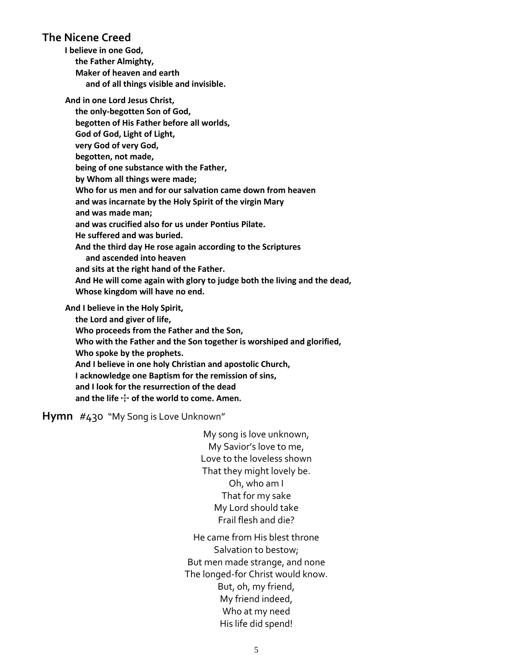#### **The Nicene Creed**

**I believe in one God, the Father Almighty, Maker of heaven and earth and of all things visible and invisible.**

**And in one Lord Jesus Christ,**

 **the only-begotten Son of God,**

 **begotten of His Father before all worlds, God of God, Light of Light, very God of very God, begotten, not made, being of one substance with the Father, by Whom all things were made; Who for us men and for our salvation came down from heaven and was incarnate by the Holy Spirit of the virgin Mary and was made man; and was crucified also for us under Pontius Pilate. He suffered and was buried.**

 **And the third day He rose again according to the Scriptures**

 **and ascended into heaven**

 **and sits at the right hand of the Father.**

 **And He will come again with glory to judge both the living and the dead, Whose kingdom will have no end.**

**And I believe in the Holy Spirit,**

 **the Lord and giver of life, Who proceeds from the Father and the Son, Who with the Father and the Son together is worshiped and glorified, Who spoke by the prophets. And I believe in one holy Christian and apostolic Church, I acknowledge one Baptism for the remission of sins, and I look for the resurrection of the dead and the life** T **of the world to come. Amen.**

**Hymn** *#*430 "My Song is Love Unknown"

My song is love unknown, My Savior's love to me, Love to the loveless shown That they might lovely be. Oh, who am I That for my sake My Lord should take Frail flesh and die?

He came from His blest throne Salvation to bestow; But men made strange, and none The longed-for Christ would know. But, oh, my friend, My friend indeed, Who at my need His life did spend!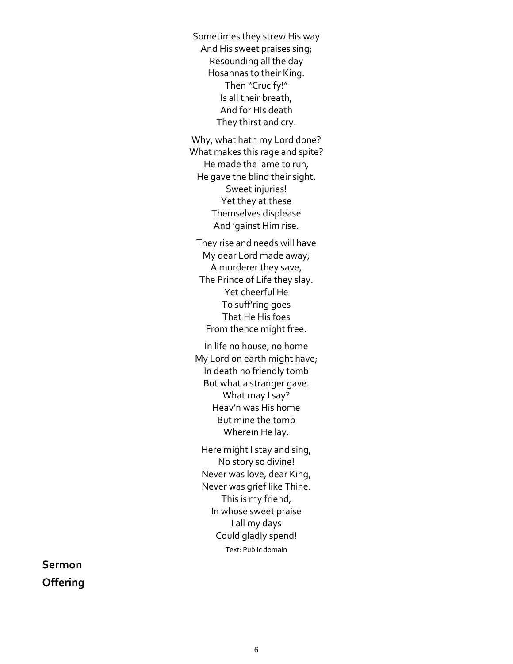Sometimes they strew His way And His sweet praises sing; Resounding all the day Hosannas to their King. Then "Crucify!" Is all their breath, And for His death They thirst and cry.

Why, what hath my Lord done? What makes this rage and spite? He made the lame to run, He gave the blind their sight. Sweet injuries! Yet they at these Themselves displease And 'gainst Him rise.

They rise and needs will have My dear Lord made away; A murderer they save, The Prince of Life they slay. Yet cheerful He To suff'ring goes That He His foes From thence might free.

In life no house, no home My Lord on earth might have; In death no friendly tomb But what a stranger gave. What may I say? Heav'n was His home But mine the tomb Wherein He lay.

Here might I stay and sing, No story so divine! Never was love, dear King, Never was grief like Thine. This is my friend, In whose sweet praise I all my days Could gladly spend! Text: Public domain

**S ermon Offering**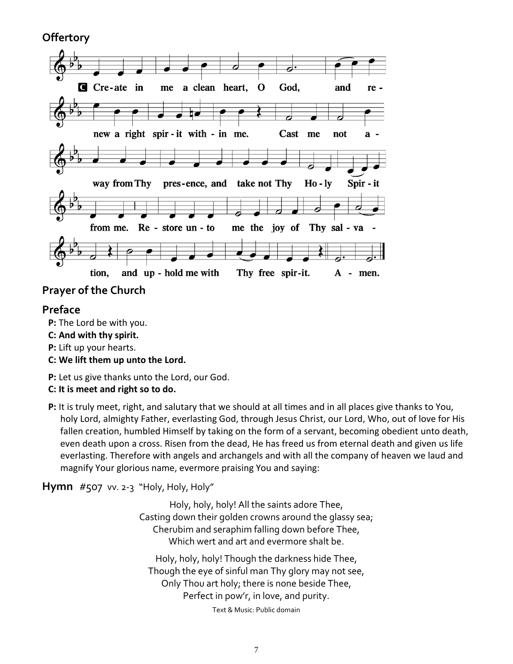**Offertory**



# **Prayer of the Church**

## **Preface**

- **P:** The Lord be with you.
- **C: And with thy spirit.**
- **P:** Lift up your hearts.
- **C: We lift them up unto the Lord.**
- **P:** Let us give thanks unto the Lord, our God.
- **C: It is meet and right so to do.**
- **P:** It is truly meet, right, and salutary that we should at all times and in all places give thanks to You, holy Lord, almighty Father, everlasting God, through Jesus Christ, our Lord, Who, out of love for His fallen creation, humbled Himself by taking on the form of a servant, becoming obedient unto death, even death upon a cross. Risen from the dead, He has freed us from eternal death and given us life everlasting. Therefore with angels and archangels and with all the company of heaven we laud and magnify Your glorious name, evermore praising You and saying:

**Hymn** *#*507vv. 2-3"Holy, Holy, Holy"

Holy, holy, holy! All the saints adore Thee, Casting down their golden crowns around the glassy sea; Cherubim and seraphim falling down before Thee, Which wert and art and evermore shalt be.

Holy, holy, holy! Though the darkness hide Thee, Though the eye of sinful man Thy glory may not see, Only Thou art holy; there is none beside Thee, Perfect in pow'r, in love, and purity. Text & Music: Public domain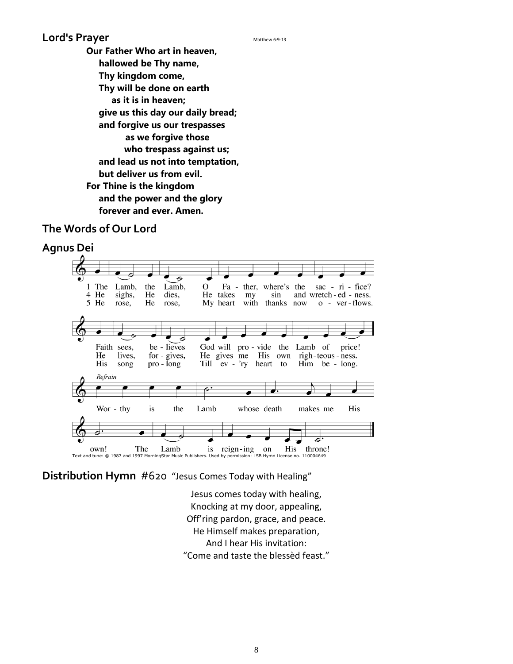#### **Lord's Prayer** Matthew 6:9-13

**Our Father Who art in heaven, hallowed be Thy name, Thy kingdom come, Thy will be done on earth as it is in heaven; give us this day our daily bread; and forgive us our trespasses as we forgive those who trespass against us; and lead us not into temptation, but deliver us from evil. For Thine is the kingdom and the power and the glory forever and ever. Amen.**

#### **The Words of Our Lord**

**Agnus Dei**



**Distribution Hymn** #620 "Jesus Comes Today with Healing"

Jesus comes today with healing, Knocking at my door, appealing, Off'ring pardon, grace, and peace. He Himself makes preparation, And I hear His invitation: "Come and taste the blessèd feast."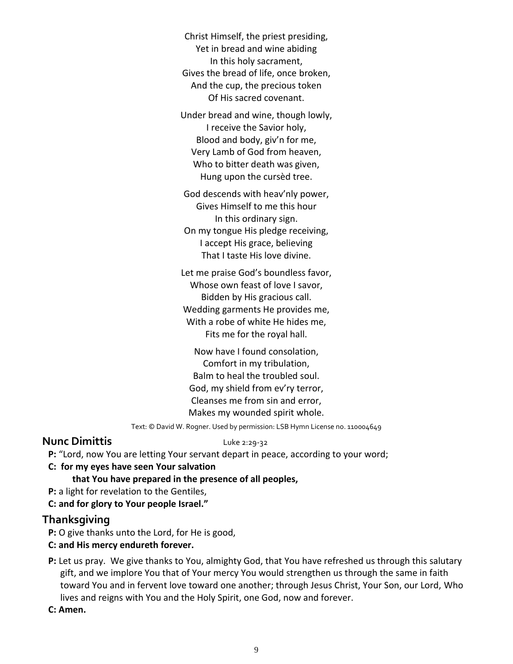Christ Himself, the priest presiding, Yet in bread and wine abiding In this holy sacrament, Gives the bread of life, once broken, And the cup, the precious token Of His sacred covenant.

Under bread and wine, though lowly, I receive the Savior holy, Blood and body, giv'n for me, Very Lamb of God from heaven, Who to bitter death was given, Hung upon the cursèd tree.

God descends with heav'nly power, Gives Himself to me this hour In this ordinary sign. On my tongue His pledge receiving, I accept His grace, believing That I taste His love divine.

Let me praise God's boundless favor, Whose own feast of love I savor, Bidden by His gracious call. Wedding garments He provides me, With a robe of white He hides me, Fits me for the royal hall.

Now have I found consolation, Comfort in my tribulation, Balm to heal the troubled soul. God, my shield from ev'ry terror, Cleanses me from sin and error, Makes my wounded spirit whole.

Text: © David W. Rogner. Used by permission: LSB Hymn License no. 110004649

#### **Nunc Dimittis** Luke 2:29-32

- **P:** "Lord, now You are letting Your servant depart in peace, according to your word;
- **C: for my eyes have seen Your salvation**

**that You have prepared in the presence of all peoples,**

- **P:** a light for revelation to the Gentiles,
- **C: and for glory to Your people Israel."**

#### **Thanksgiving**

- **P:** O give thanks unto the Lord, for He is good,
- **C: and His mercy endureth forever.**
- **P:** Let us pray. We give thanks to You, almighty God, that You have refreshed us through this salutary gift, and we implore You that of Your mercy You would strengthen us through the same in faith toward You and in fervent love toward one another; through Jesus Christ, Your Son, our Lord, Who lives and reigns with You and the Holy Spirit, one God, now and forever.
- **C: Amen.**